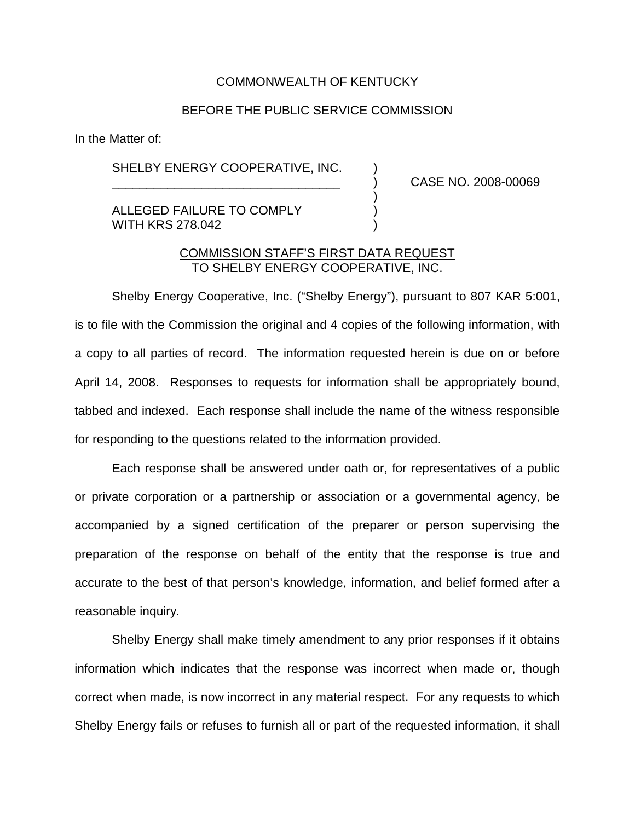## COMMONWEALTH OF KENTUCKY

## BEFORE THE PUBLIC SERVICE COMMISSION

In the Matter of:

SHELBY ENERGY COOPERATIVE, INC.

\_\_\_\_\_\_\_\_\_\_\_\_\_\_\_\_\_\_\_\_\_\_\_\_\_\_\_\_\_\_\_\_\_ ) CASE NO. 2008-00069

ALLEGED FAILURE TO COMPLY WITH KRS 278,042

## COMMISSION STAFF'S FIRST DATA REQUEST TO SHELBY ENERGY COOPERATIVE, INC.

)

Shelby Energy Cooperative, Inc. ("Shelby Energy"), pursuant to 807 KAR 5:001, is to file with the Commission the original and 4 copies of the following information, with a copy to all parties of record. The information requested herein is due on or before April 14, 2008. Responses to requests for information shall be appropriately bound, tabbed and indexed. Each response shall include the name of the witness responsible for responding to the questions related to the information provided.

Each response shall be answered under oath or, for representatives of a public or private corporation or a partnership or association or a governmental agency, be accompanied by a signed certification of the preparer or person supervising the preparation of the response on behalf of the entity that the response is true and accurate to the best of that person's knowledge, information, and belief formed after a reasonable inquiry.

Shelby Energy shall make timely amendment to any prior responses if it obtains information which indicates that the response was incorrect when made or, though correct when made, is now incorrect in any material respect. For any requests to which Shelby Energy fails or refuses to furnish all or part of the requested information, it shall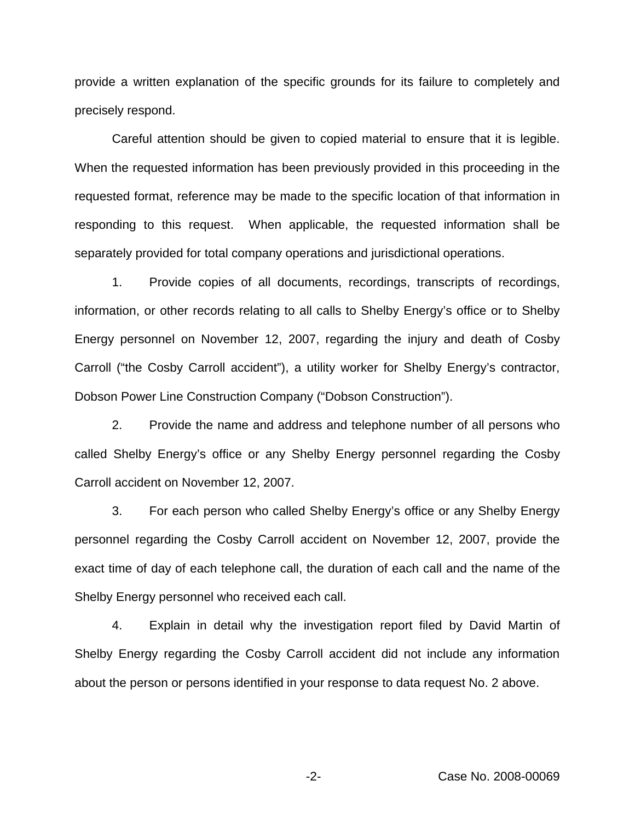provide a written explanation of the specific grounds for its failure to completely and precisely respond.

Careful attention should be given to copied material to ensure that it is legible. When the requested information has been previously provided in this proceeding in the requested format, reference may be made to the specific location of that information in responding to this request. When applicable, the requested information shall be separately provided for total company operations and jurisdictional operations.

1. Provide copies of all documents, recordings, transcripts of recordings, information, or other records relating to all calls to Shelby Energy's office or to Shelby Energy personnel on November 12, 2007, regarding the injury and death of Cosby Carroll ("the Cosby Carroll accident"), a utility worker for Shelby Energy's contractor, Dobson Power Line Construction Company ("Dobson Construction").

2. Provide the name and address and telephone number of all persons who called Shelby Energy's office or any Shelby Energy personnel regarding the Cosby Carroll accident on November 12, 2007.

3. For each person who called Shelby Energy's office or any Shelby Energy personnel regarding the Cosby Carroll accident on November 12, 2007, provide the exact time of day of each telephone call, the duration of each call and the name of the Shelby Energy personnel who received each call.

4. Explain in detail why the investigation report filed by David Martin of Shelby Energy regarding the Cosby Carroll accident did not include any information about the person or persons identified in your response to data request No. 2 above.

-2- Case No. 2008-00069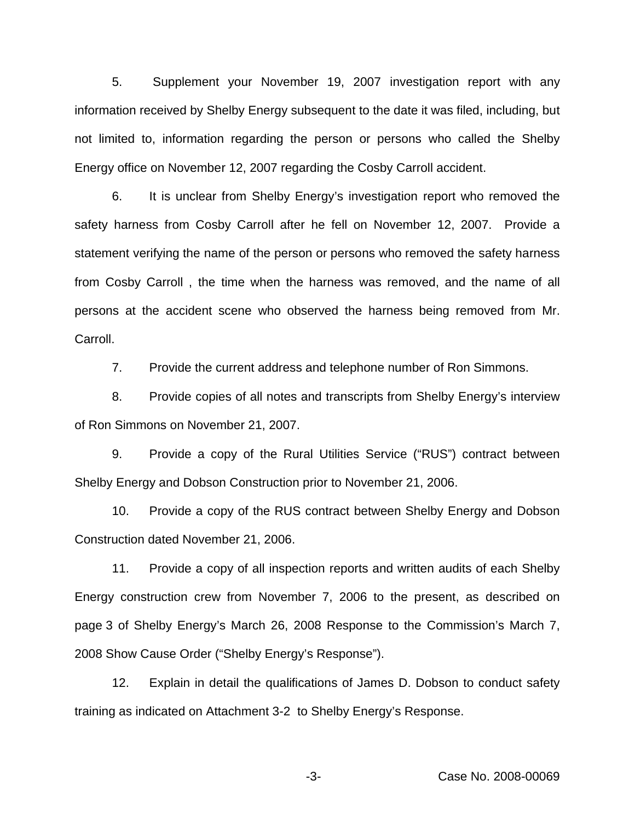5. Supplement your November 19, 2007 investigation report with any information received by Shelby Energy subsequent to the date it was filed, including, but not limited to, information regarding the person or persons who called the Shelby Energy office on November 12, 2007 regarding the Cosby Carroll accident.

6. It is unclear from Shelby Energy's investigation report who removed the safety harness from Cosby Carroll after he fell on November 12, 2007. Provide a statement verifying the name of the person or persons who removed the safety harness from Cosby Carroll , the time when the harness was removed, and the name of all persons at the accident scene who observed the harness being removed from Mr. Carroll.

7. Provide the current address and telephone number of Ron Simmons.

8. Provide copies of all notes and transcripts from Shelby Energy's interview of Ron Simmons on November 21, 2007.

9. Provide a copy of the Rural Utilities Service ("RUS") contract between Shelby Energy and Dobson Construction prior to November 21, 2006.

10. Provide a copy of the RUS contract between Shelby Energy and Dobson Construction dated November 21, 2006.

11. Provide a copy of all inspection reports and written audits of each Shelby Energy construction crew from November 7, 2006 to the present, as described on page 3 of Shelby Energy's March 26, 2008 Response to the Commission's March 7, 2008 Show Cause Order ("Shelby Energy's Response").

12. Explain in detail the qualifications of James D. Dobson to conduct safety training as indicated on Attachment 3-2 to Shelby Energy's Response.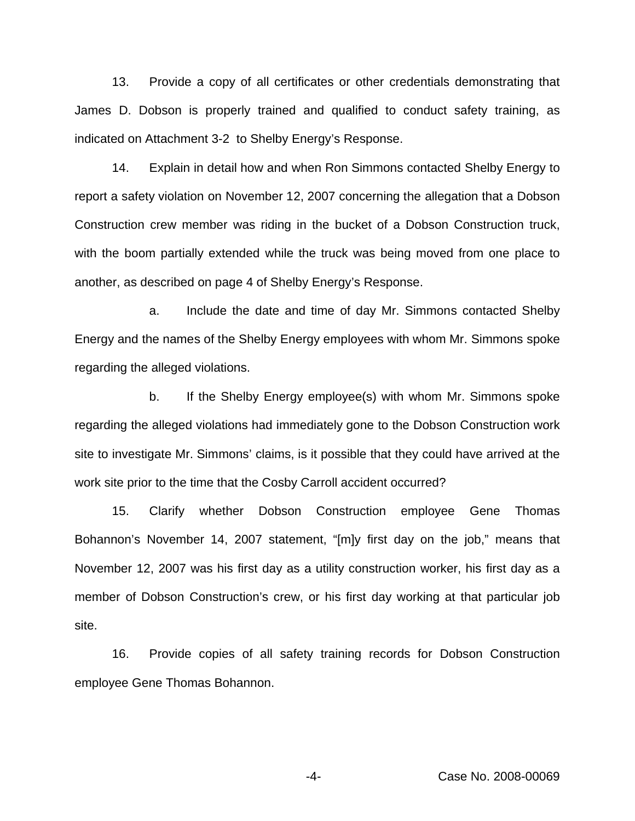13. Provide a copy of all certificates or other credentials demonstrating that James D. Dobson is properly trained and qualified to conduct safety training, as indicated on Attachment 3-2 to Shelby Energy's Response.

14. Explain in detail how and when Ron Simmons contacted Shelby Energy to report a safety violation on November 12, 2007 concerning the allegation that a Dobson Construction crew member was riding in the bucket of a Dobson Construction truck, with the boom partially extended while the truck was being moved from one place to another, as described on page 4 of Shelby Energy's Response.

a. Include the date and time of day Mr. Simmons contacted Shelby Energy and the names of the Shelby Energy employees with whom Mr. Simmons spoke regarding the alleged violations.

b. If the Shelby Energy employee(s) with whom Mr. Simmons spoke regarding the alleged violations had immediately gone to the Dobson Construction work site to investigate Mr. Simmons' claims, is it possible that they could have arrived at the work site prior to the time that the Cosby Carroll accident occurred?

15. Clarify whether Dobson Construction employee Gene Thomas Bohannon's November 14, 2007 statement, "[m]y first day on the job," means that November 12, 2007 was his first day as a utility construction worker, his first day as a member of Dobson Construction's crew, or his first day working at that particular job site.

16. Provide copies of all safety training records for Dobson Construction employee Gene Thomas Bohannon.

-4- Case No. 2008-00069